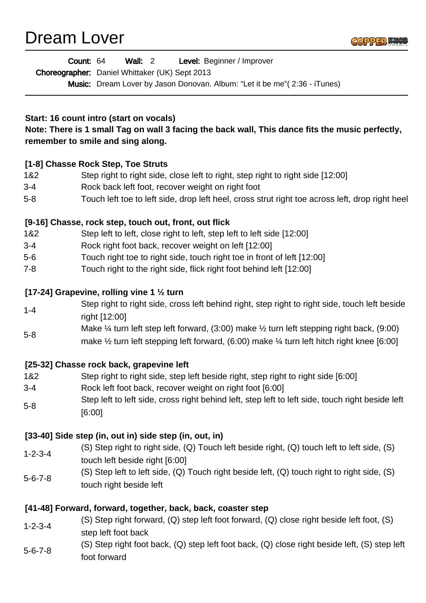Dream Lover



| <b>Level:</b> Beginner / Improver<br>Count: 64<br><b>Wall: 2</b> |  |
|------------------------------------------------------------------|--|
|------------------------------------------------------------------|--|

Choreographer: Daniel Whittaker (UK) Sept 2013

Music: Dream Lover by Jason Donovan. Album: "Let it be me" (2:36 - iTunes)

### **Start: 16 count intro (start on vocals)**

**Note: There is 1 small Tag on wall 3 facing the back wall, This dance fits the music perfectly, remember to smile and sing along.**

### **[1-8] Chasse Rock Step, Toe Struts**

- 1&2 Step right to right side, close left to right, step right to right side [12:00]
- 3-4 Rock back left foot, recover weight on right foot
- 5-8 Touch left toe to left side, drop left heel, cross strut right toe across left, drop right heel

### **[9-16] Chasse, rock step, touch out, front, out flick**

- 1&2 Step left to left, close right to left, step left to left side [12:00]
- 3-4 Rock right foot back, recover weight on left [12:00]
- 5-6 Touch right toe to right side, touch right toe in front of left [12:00]
- 7-8 Touch right to the right side, flick right foot behind left [12:00]

### **[17-24] Grapevine, rolling vine 1 ½ turn**

- 1-4 Step right to right side, cross left behind right, step right to right side, touch left beside right [12:00]
- 5-8 Make ¼ turn left step left forward, (3:00) make ½ turn left stepping right back, (9:00) make  $\frac{1}{2}$  turn left stepping left forward, (6:00) make  $\frac{1}{4}$  turn left hitch right knee [6:00]

### **[25-32] Chasse rock back, grapevine left**

- 1&2 Step right to right side, step left beside right, step right to right side [6:00]
- 3-4 Rock left foot back, recover weight on right foot [6:00]
- 5-8 Step left to left side, cross right behind left, step left to left side, touch right beside left [6:00]

## **[33-40] Side step (in, out in) side step (in, out, in)**

- 1-2-3-4 (S) Step right to right side, (Q) Touch left beside right, (Q) touch left to left side, (S) touch left beside right [6:00]
- 5-6-7-8 (S) Step left to left side, (Q) Touch right beside left, (Q) touch right to right side, (S) touch right beside left

## **[41-48] Forward, forward, together, back, back, coaster step**

- 1-2-3-4 (S) Step right forward, (Q) step left foot forward, (Q) close right beside left foot, (S) step left foot back
- 5-6-7-8 (S) Step right foot back, (Q) step left foot back, (Q) close right beside left, (S) step left foot forward